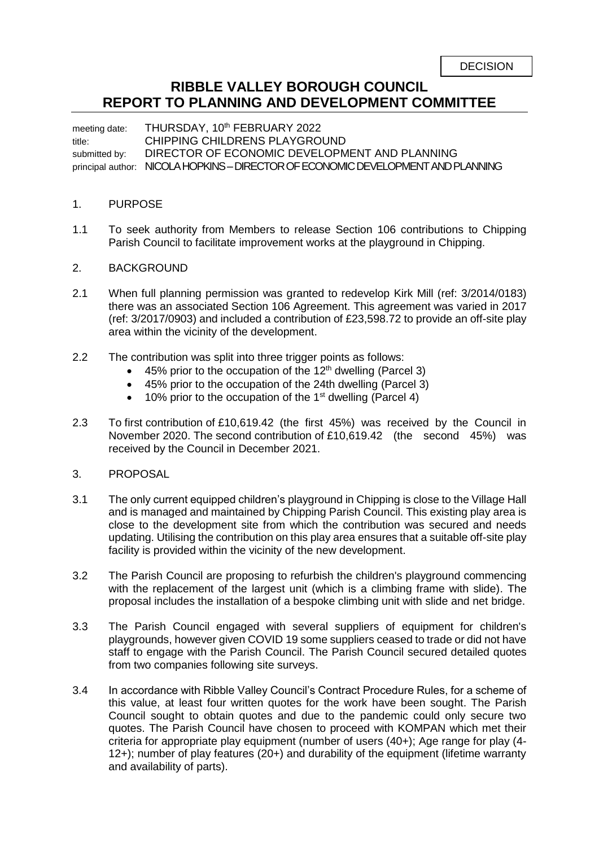## **RIBBLE VALLEY BOROUGH COUNCIL REPORT TO PLANNING AND DEVELOPMENT COMMITTEE**

meeting date: THURSDAY, 10<sup>th</sup> FEBRUARY 2022 title: CHIPPING CHILDRENS PLAYGROUND submitted by: DIRECTOR OF ECONOMIC DEVELOPMENT AND PLANNING principal author: NICOLA HOPKINS - DIRECTOR OF ECONOMIC DEVELOPMENT AND PLANNING

## 1. PURPOSE

- 1.1 To seek authority from Members to release Section 106 contributions to Chipping Parish Council to facilitate improvement works at the playground in Chipping.
- 2. BACKGROUND
- 2.1 When full planning permission was granted to redevelop Kirk Mill (ref: 3/2014/0183) there was an associated Section 106 Agreement. This agreement was varied in 2017 (ref: 3/2017/0903) and included a contribution of £23,598.72 to provide an off-site play area within the vicinity of the development.
- 2.2 The contribution was split into three trigger points as follows:
	- 45% prior to the occupation of the  $12<sup>th</sup>$  dwelling (Parcel 3)
	- 45% prior to the occupation of the 24th dwelling (Parcel 3)
	- 10% prior to the occupation of the 1<sup>st</sup> dwelling (Parcel 4)
- 2.3 To first contribution of £10,619.42 (the first 45%) was received by the Council in November 2020. The second contribution of £10,619.42 (the second 45%) was received by the Council in December 2021.
- 3. PROPOSAL
- 3.1 The only current equipped children's playground in Chipping is close to the Village Hall and is managed and maintained by Chipping Parish Council. This existing play area is close to the development site from which the contribution was secured and needs updating. Utilising the contribution on this play area ensures that a suitable off-site play facility is provided within the vicinity of the new development.
- 3.2 The Parish Council are proposing to refurbish the children's playground commencing with the replacement of the largest unit (which is a climbing frame with slide). The proposal includes the installation of a bespoke climbing unit with slide and net bridge.
- 3.3 The Parish Council engaged with several suppliers of equipment for children's playgrounds, however given COVID 19 some suppliers ceased to trade or did not have staff to engage with the Parish Council. The Parish Council secured detailed quotes from two companies following site surveys.
- 3.4 In accordance with Ribble Valley Council's Contract Procedure Rules, for a scheme of this value, at least four written quotes for the work have been sought. The Parish Council sought to obtain quotes and due to the pandemic could only secure two quotes. The Parish Council have chosen to proceed with KOMPAN which met their criteria for appropriate play equipment (number of users (40+); Age range for play (4- 12+); number of play features (20+) and durability of the equipment (lifetime warranty and availability of parts).